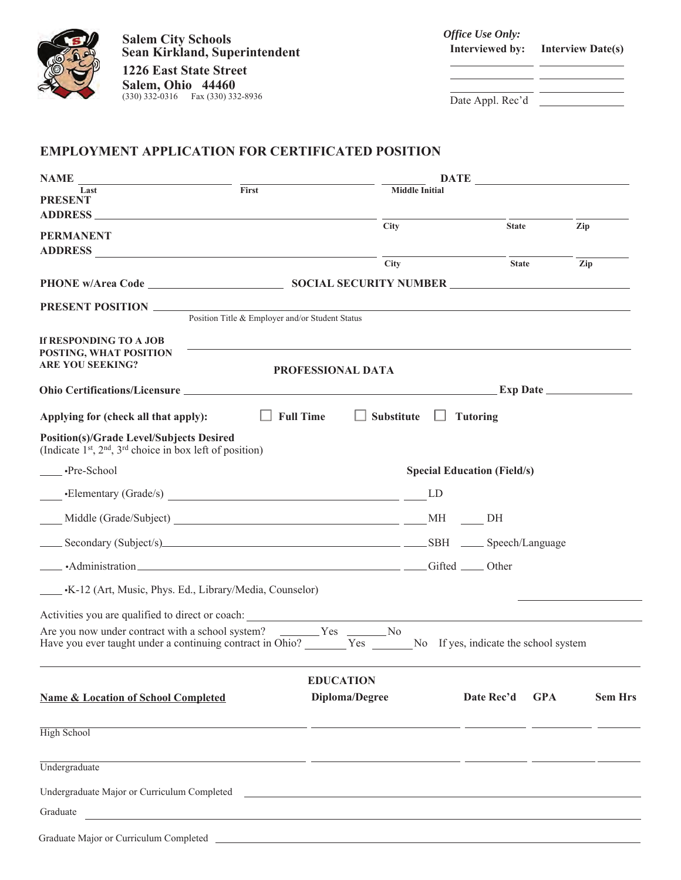

**Salem City Schools Sean Kirkland, Superintendent**

**1226 East State Street Salem, Ohio 44460** (330) 332-0316 Fax (330) 332-8936 *Office Use Only:* **Interviewed by: Interview Date(s)**

Date Appl. Rec'd

## **EMPLOYMENT APPLICATION FOR CERTIFICATED POSITION**

| <b>NAME</b>                                                                                                                                                                        |                                                                                                                       |                            |                                    |            |                |  |
|------------------------------------------------------------------------------------------------------------------------------------------------------------------------------------|-----------------------------------------------------------------------------------------------------------------------|----------------------------|------------------------------------|------------|----------------|--|
| Last<br><b>PRESENT</b>                                                                                                                                                             | First                                                                                                                 | <b>Middle Initial</b>      |                                    |            |                |  |
|                                                                                                                                                                                    |                                                                                                                       |                            |                                    |            |                |  |
| <b>PERMANENT</b>                                                                                                                                                                   | <b>City</b>                                                                                                           |                            | <b>State</b>                       |            | Zip            |  |
| <b>ADDRESS</b>                                                                                                                                                                     | <u> 1989 - Johann Stein, fransk politik (f. 1989)</u>                                                                 |                            |                                    |            |                |  |
|                                                                                                                                                                                    | City                                                                                                                  |                            | <b>State</b>                       |            | Zip            |  |
|                                                                                                                                                                                    |                                                                                                                       |                            |                                    |            |                |  |
|                                                                                                                                                                                    |                                                                                                                       |                            |                                    |            |                |  |
|                                                                                                                                                                                    | Position Title & Employer and/or Student Status                                                                       |                            |                                    |            |                |  |
| If RESPONDING TO A JOB                                                                                                                                                             |                                                                                                                       |                            |                                    |            |                |  |
| POSTING, WHAT POSITION<br><b>ARE YOU SEEKING?</b>                                                                                                                                  |                                                                                                                       |                            |                                    |            |                |  |
|                                                                                                                                                                                    | PROFESSIONAL DATA                                                                                                     |                            |                                    |            |                |  |
|                                                                                                                                                                                    |                                                                                                                       |                            |                                    |            |                |  |
| Applying for (check all that apply):                                                                                                                                               | <b>Full Time</b>                                                                                                      | Substitute $\Box$ Tutoring |                                    |            |                |  |
| <b>Position(s)/Grade Level/Subjects Desired</b><br>(Indicate $1st$ , $2nd$ , $3rd$ choice in box left of position)                                                                 |                                                                                                                       |                            |                                    |            |                |  |
| ·Pre-School                                                                                                                                                                        |                                                                                                                       |                            | <b>Special Education (Field/s)</b> |            |                |  |
|                                                                                                                                                                                    |                                                                                                                       |                            |                                    |            |                |  |
|                                                                                                                                                                                    |                                                                                                                       |                            | DH                                 |            |                |  |
| Secondary (Subject/s) SBH Speech/Language                                                                                                                                          |                                                                                                                       |                            |                                    |            |                |  |
| -Administration Gifted Debian Contact Administration                                                                                                                               |                                                                                                                       |                            |                                    |            |                |  |
| <b>EXACTLE</b> . K-12 (Art, Music, Phys. Ed., Library/Media, Counselor)                                                                                                            |                                                                                                                       |                            |                                    |            |                |  |
|                                                                                                                                                                                    |                                                                                                                       |                            |                                    |            |                |  |
| Are you now under contract with a school system? ________Yes ________No<br>Have you ever taught under a continuing contract in Ohio? No Pres No If yes, indicate the school system |                                                                                                                       |                            |                                    |            |                |  |
|                                                                                                                                                                                    | <b>EDUCATION</b>                                                                                                      |                            |                                    |            |                |  |
| <b>Name &amp; Location of School Completed</b>                                                                                                                                     | Diploma/Degree                                                                                                        |                            | Date Rec'd                         | <b>GPA</b> | <b>Sem Hrs</b> |  |
| High School                                                                                                                                                                        | <u> 1989 - Andrea Santa Andrea Santa Andrea Santa Andrea Andrea Santa Andrea Santa Andrea Santa Andrea Santa Andr</u> |                            |                                    |            |                |  |
| Undergraduate                                                                                                                                                                      | <u> 2002 - Andrea Andrew Alexander (h. 1982).</u>                                                                     |                            |                                    |            |                |  |
|                                                                                                                                                                                    |                                                                                                                       |                            |                                    |            |                |  |
| Graduate                                                                                                                                                                           |                                                                                                                       |                            |                                    |            |                |  |
|                                                                                                                                                                                    |                                                                                                                       |                            |                                    |            |                |  |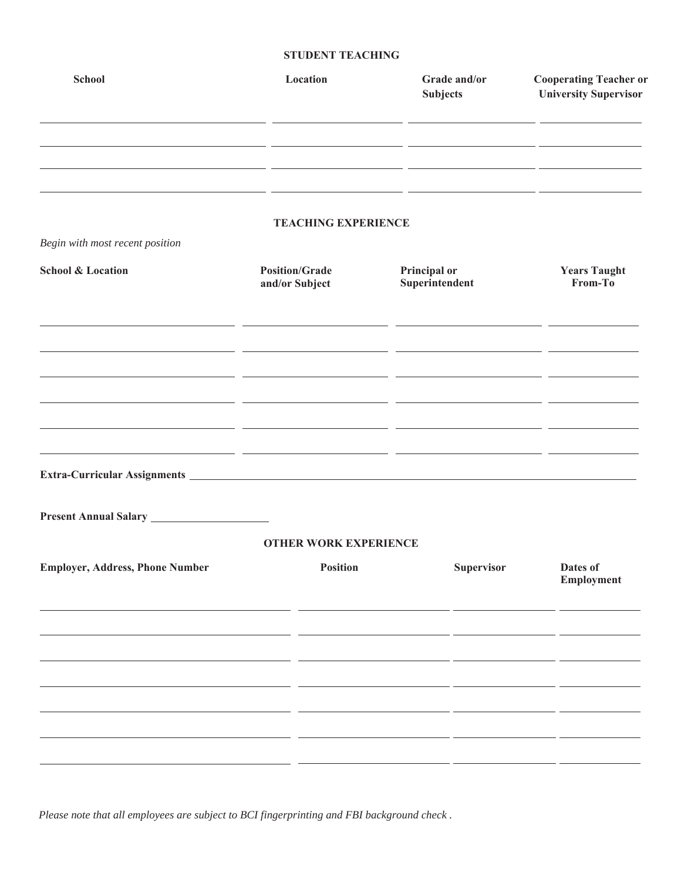## **STUDENT TEACHING**

| <b>School</b>                           | Location                                        | Grade and/or<br><b>Subjects</b>   | <b>Cooperating Teacher or</b><br><b>University Supervisor</b> |
|-----------------------------------------|-------------------------------------------------|-----------------------------------|---------------------------------------------------------------|
|                                         |                                                 | - -                               |                                                               |
| Begin with most recent position         | <b>TEACHING EXPERIENCE</b>                      | - -                               |                                                               |
| <b>School &amp; Location</b>            | <b>Position/Grade</b><br>and/or Subject         | Principal or<br>Superintendent    | <b>Years Taught</b><br>From-To                                |
|                                         |                                                 |                                   |                                                               |
| <u> 1989 - Jan Storman Barbara, man</u> | __ _                                            |                                   |                                                               |
|                                         |                                                 | <u> The Common Service (1989)</u> | <u> 1980 - John Stone, amerikansk politiker (</u>             |
|                                         |                                                 |                                   |                                                               |
| <b>Employer, Address, Phone Number</b>  | <b>OTHER WORK EXPERIENCE</b><br><b>Position</b> | Supervisor                        | Dates of<br>Employment                                        |
|                                         |                                                 |                                   |                                                               |
|                                         |                                                 |                                   |                                                               |
|                                         |                                                 |                                   |                                                               |

*Please note that all employees are subject to BCI fingerprinting and FBI background check .*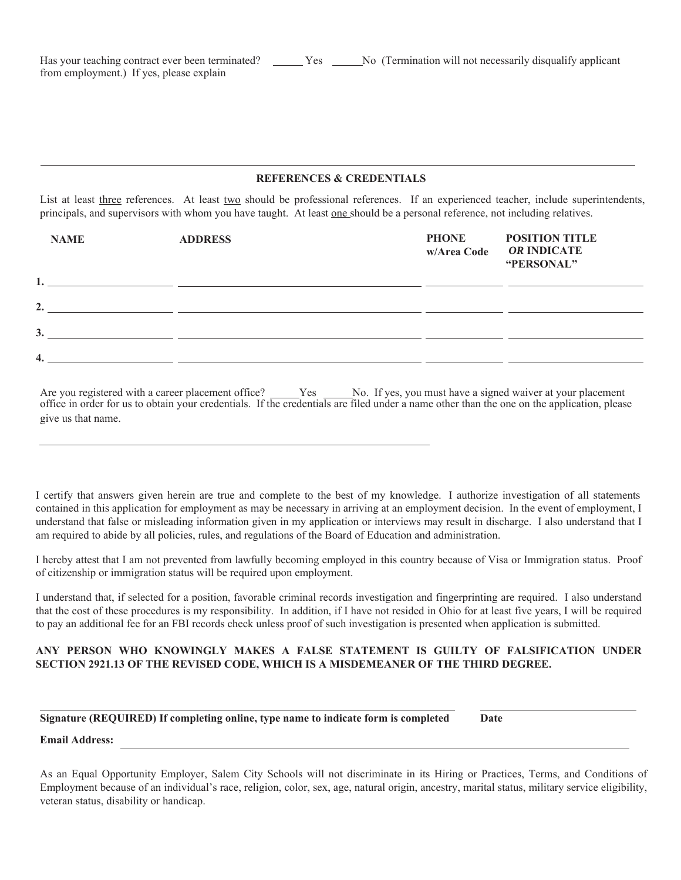### **REFERENCES & CREDENTIALS**

List at least three references. At least two should be professional references. If an experienced teacher, include superintendents, principals, and supervisors with whom you have taught. At least <u>one</u> should be a personal reference, not including relatives.

| <b>NAME</b> | <b>ADDRESS</b>                                                                                                       | <b>PHONE</b><br>w/Area Code | <b>POSITION TITLE</b><br>OR INDICATE<br>"PERSONAL" |
|-------------|----------------------------------------------------------------------------------------------------------------------|-----------------------------|----------------------------------------------------|
|             | <u> 1989 - Jan James James James James James James James James James James James James James James James James J</u> |                             |                                                    |
| 2.          |                                                                                                                      |                             |                                                    |
| 3.          |                                                                                                                      |                             |                                                    |
| 4.          |                                                                                                                      |                             |                                                    |

Are you registered with a career placement office? Ness No. If yes, you must have a signed waiver at your placement office in order for us to obtain your credentials. If the credentials are filed under a name other than the one on the application, please give us that name.

I certify that answers given herein are true and complete to the best of my knowledge. I authorize investigation of all statements contained in this application for employment as may be necessary in arriving at an employment decision. In the event of employment, I understand that false or misleading information given in my application or interviews may result in discharge. I also understand that I am required to abide by all policies, rules, and regulations of the Board of Education and administration.

I hereby attest that I am not prevented from lawfully becoming employed in this country because of Visa or Immigration status. Proof of citizenship or immigration status will be required upon employment.

I understand that, if selected for a position, favorable criminal records investigation and fingerprinting are required. I also understand that the cost of these procedures is my responsibility. In addition, if I have not resided in Ohio for at least five years, I will be required to pay an additional fee for an FBI records check unless proof of such investigation is presented when application is submitted.

### **ANY PERSON WHO KNOWINGLY MAKES A FALSE STATEMENT IS GUILTY OF FALSIFICATION UNDER SECTION 2921.13 OF THE REVISED CODE, WHICH IS A MISDEMEANER OF THE THIRD DEGREE.**

# **Signature (REQUIRED) If completing online, type name to indicate form is completed** Date

#### **Email Address:**

As an Equal Opportunity Employer, Salem City Schools will not discriminate in its Hiring or Practices, Terms, and Conditions of Employment because of an individual's race, religion, color, sex, age, natural origin, ancestry, marital status, military service eligibility, veteran status, disability or handicap.